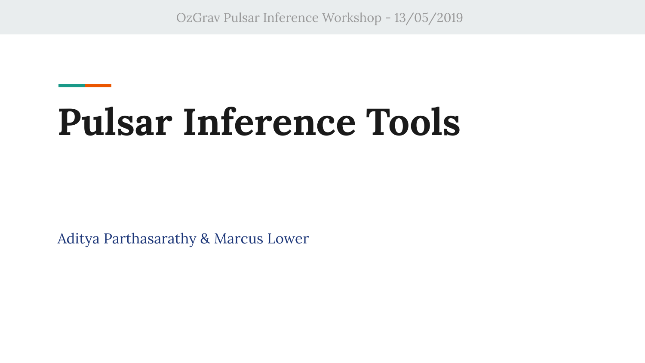OzGrav Pulsar Inference Workshop - 13/05/2019

# **Pulsar Inference Tools**

Aditya Parthasarathy & Marcus Lower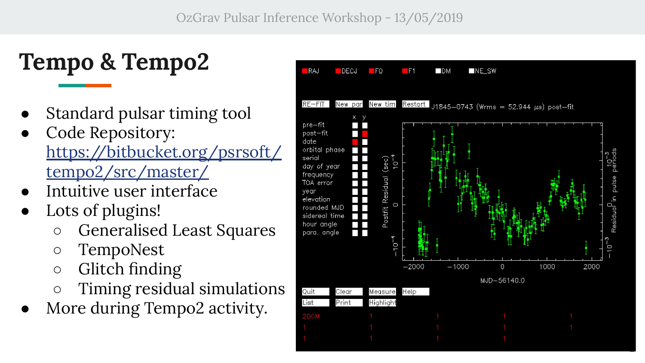## **Tempo & Tempo2**

- Standard pulsar timing tool
- Code Repository: [https://bitbucket.org/psrsoft/](https://bitbucket.org/psrsoft/tempo2/src/master/) [tempo2/src/master/](https://bitbucket.org/psrsoft/tempo2/src/master/)
- Intuitive user interface
- Lots of plugins!
	- Generalised Least Squares
	- TempoNest
	- Glitch finding
	- Timing residual simulations
- More during Tempo2 activity.



2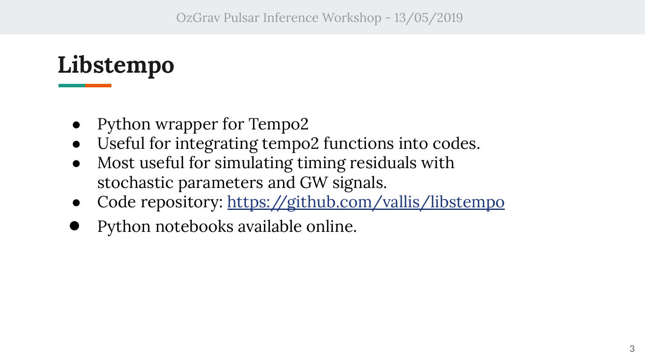#### **Libstempo**

- Python wrapper for Tempo2
- Useful for integrating tempo2 functions into codes.
- Most useful for simulating timing residuals with stochastic parameters and GW signals.
- Code repository: <https://github.com/vallis/libstempo>
- Python notebooks available online.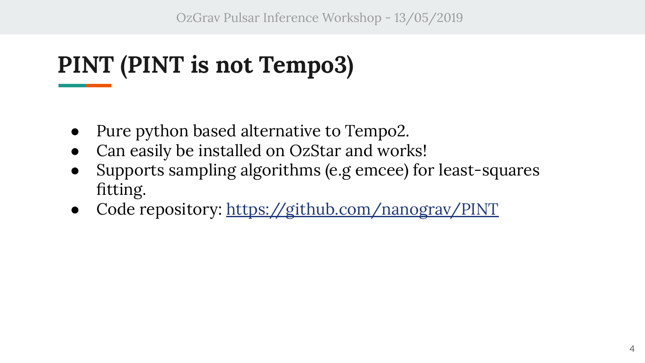OzGrav Pulsar Inference Workshop - 13/05/2019

## **PINT (PINT is not Tempo3)**

- Pure python based alternative to Tempo2.
- Can easily be installed on OzStar and works!
- Supports sampling algorithms (e.g emcee) for least-squares fitting.
- Code repository: <https://github.com/nanograv/PINT>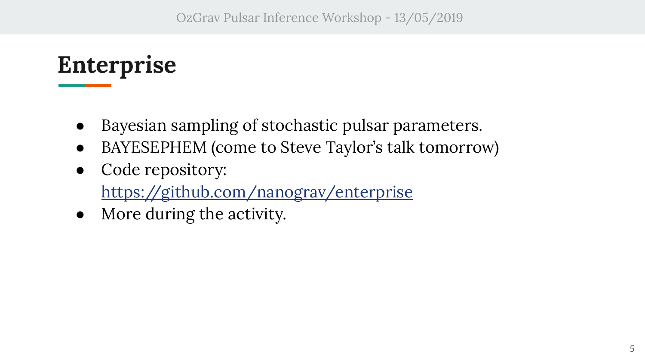## **Enterprise**

- Bayesian sampling of stochastic pulsar parameters.
- BAYESEPHEM (come to Steve Taylor's talk tomorrow)
- Code repository: <https://github.com/nanograv/enterprise>
- More during the activity.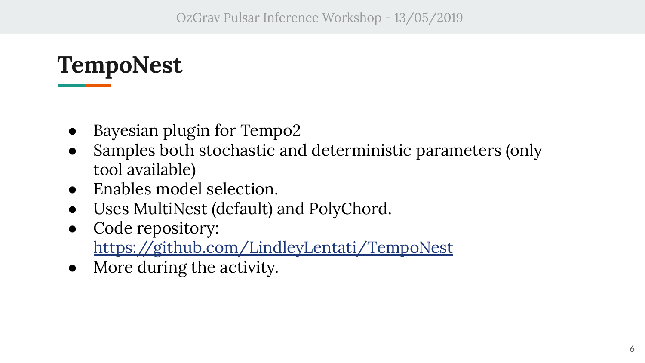#### **TempoNest**

- Bayesian plugin for Tempo2
- Samples both stochastic and deterministic parameters (only tool available)
- Enables model selection.
- Uses MultiNest (default) and PolyChord.
- Code repository: <https://github.com/LindleyLentati/TempoNest>
- More during the activity.